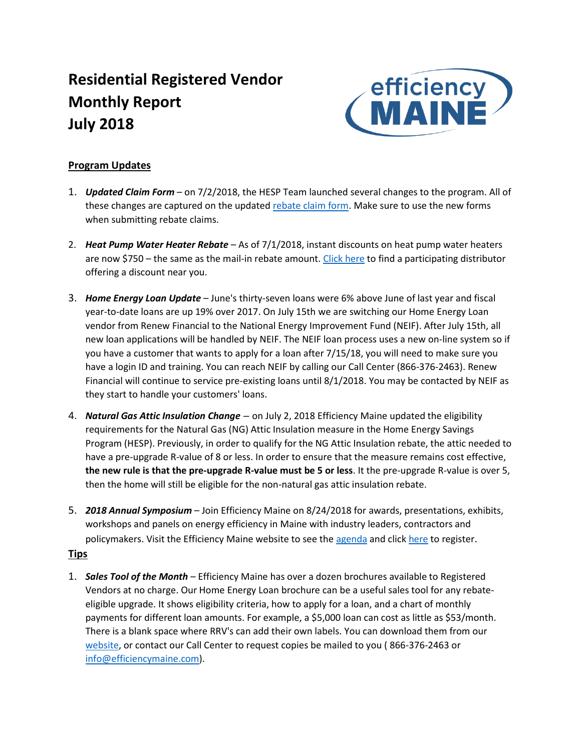# **Residential Registered Vendor Monthly Report July 2018**



# **Program Updates**

- 1. *Updated Claim Form*  on 7/2/2018, the HESP Team launched several changes to the program. All of these changes are captured on the update[d rebate claim form.](https://www.efficiencymaine.com/docs/HESP-Completion-Form-Universal.pdf) Make sure to use the new forms when submitting rebate claims.
- 2. *Heat Pump Water Heater Rebate* As of 7/1/2018, instant discounts on heat pump water heaters are now \$750 – the same as the mail-in rebate amount[. Click here](https://www.efficiencymaine.com/docs/HPWH-Distributor-Locations.pdf) to find a participating distributor offering a discount near you.
- 3. *Home Energy Loan Update* June's thirty-seven loans were 6% above June of last year and fiscal year-to-date loans are up 19% over 2017. On July 15th we are switching our Home Energy Loan vendor from Renew Financial to the National Energy Improvement Fund (NEIF). After July 15th, all new loan applications will be handled by NEIF. The NEIF loan process uses a new on-line system so if you have a customer that wants to apply for a loan after 7/15/18, you will need to make sure you have a login ID and training. You can reach NEIF by calling our Call Center (866-376-2463). Renew Financial will continue to service pre-existing loans until 8/1/2018. You may be contacted by NEIF as they start to handle your customers' loans.
- 4. *Natural Gas Attic Insulation Change* on July 2, 2018 Efficiency Maine updated the eligibility requirements for the Natural Gas (NG) Attic Insulation measure in the Home Energy Savings Program (HESP). Previously, in order to qualify for the NG Attic Insulation rebate, the attic needed to have a pre-upgrade R-value of 8 or less. In order to ensure that the measure remains cost effective, **the new rule is that the pre-upgrade R-value must be 5 or less**. It the pre-upgrade R-value is over 5, then the home will still be eligible for the non-natural gas attic insulation rebate.
- 5. *2018 Annual Symposium* Join Efficiency Maine on 8/24/2018 for awards, presentations, exhibits, workshops and panels on energy efficiency in Maine with industry leaders, contractors and policymakers. Visit the Efficiency Maine website to see the [agenda](https://www.efficiencymaine.com/2018-efficiency-maine-annual-symposium/) and clic[k here](https://www.eventbrite.com/e/2018-efficiency-maine-annual-symposium-tickets-46979898140) to register.

# **Tips**

1. *Sales Tool of the Month* – Efficiency Maine has over a dozen brochures available to Registered Vendors at no charge. Our Home Energy Loan brochure can be a useful sales tool for any rebateeligible upgrade. It shows eligibility criteria, how to apply for a loan, and a chart of monthly payments for different loan amounts. For example, a \$5,000 loan can cost as little as \$53/month. There is a blank space where RRV's can add their own labels. You can download them from our [website,](https://www.efficiencymaine.com/docs/EM-Home-Energy-Loans-Brochure.pdf) or contact our Call Center to request copies be mailed to you ( 866-376-2463 or [info@efficiencymaine.com\)](mailto:info@efficiencymaine.com).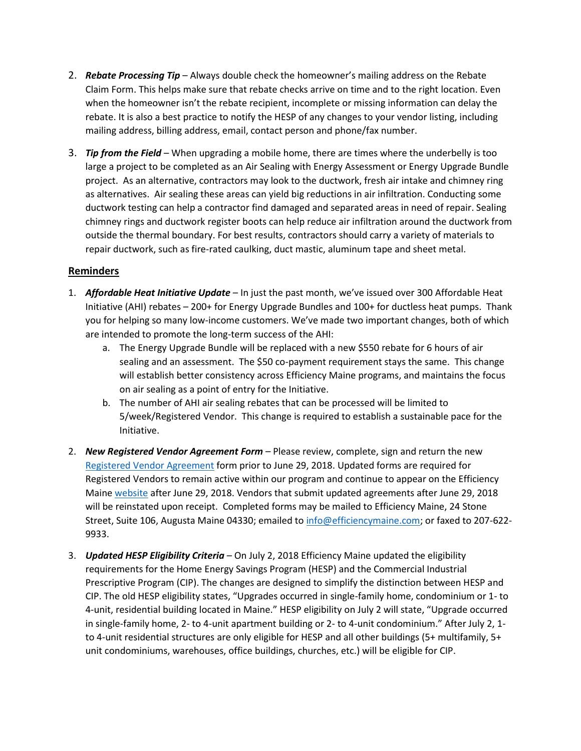- 2. *Rebate Processing Tip* Always double check the homeowner's mailing address on the Rebate Claim Form. This helps make sure that rebate checks arrive on time and to the right location. Even when the homeowner isn't the rebate recipient, incomplete or missing information can delay the rebate. It is also a best practice to notify the HESP of any changes to your vendor listing, including mailing address, billing address, email, contact person and phone/fax number.
- 3. *Tip from the Field* When upgrading a mobile home, there are times where the underbelly is too large a project to be completed as an Air Sealing with Energy Assessment or Energy Upgrade Bundle project. As an alternative, contractors may look to the ductwork, fresh air intake and chimney ring as alternatives. Air sealing these areas can yield big reductions in air infiltration. Conducting some ductwork testing can help a contractor find damaged and separated areas in need of repair. Sealing chimney rings and ductwork register boots can help reduce air infiltration around the ductwork from outside the thermal boundary. For best results, contractors should carry a variety of materials to repair ductwork, such as fire-rated caulking, duct mastic, aluminum tape and sheet metal.

### **Reminders**

- 1. *Affordable Heat Initiative Update* In just the past month, we've issued over 300 Affordable Heat Initiative (AHI) rebates – 200+ for Energy Upgrade Bundles and 100+ for ductless heat pumps. Thank you for helping so many low-income customers. We've made two important changes, both of which are intended to promote the long-term success of the AHI:
	- a. The Energy Upgrade Bundle will be replaced with a new \$550 rebate for 6 hours of air sealing and an assessment. The \$50 co-payment requirement stays the same. This change will establish better consistency across Efficiency Maine programs, and maintains the focus on air sealing as a point of entry for the Initiative.
	- b. The number of AHI air sealing rebates that can be processed will be limited to 5/week/Registered Vendor. This change is required to establish a sustainable pace for the Initiative.
- 2. *New Registered Vendor Agreement Form* Please review, complete, sign and return the new [Registered Vendor Agreement](https://www.efficiencymaine.com/docs/EM-RV-form.pdf) form prior to June 29, 2018. Updated forms are required for Registered Vendors to remain active within our program and continue to appear on the Efficiency Maine [website](https://www.efficiencymaine.com/at-home/vendor-locator/) after June 29, 2018. Vendors that submit updated agreements after June 29, 2018 will be reinstated upon receipt. Completed forms may be mailed to Efficiency Maine, 24 Stone Street, Suite 106, Augusta Maine 04330; emailed to [info@efficiencymaine.com;](mailto:info@efficiencymaine.com) or faxed to 207-622-9933.
- 3. *Updated HESP Eligibility Criteria* On July 2, 2018 Efficiency Maine updated the eligibility requirements for the Home Energy Savings Program (HESP) and the Commercial Industrial Prescriptive Program (CIP). The changes are designed to simplify the distinction between HESP and CIP. The old HESP eligibility states, "Upgrades occurred in single-family home, condominium or 1- to 4-unit, residential building located in Maine." HESP eligibility on July 2 will state, "Upgrade occurred in single-family home, 2- to 4-unit apartment building or 2- to 4-unit condominium." After July 2, 1 to 4-unit residential structures are only eligible for HESP and all other buildings (5+ multifamily, 5+ unit condominiums, warehouses, office buildings, churches, etc.) will be eligible for CIP.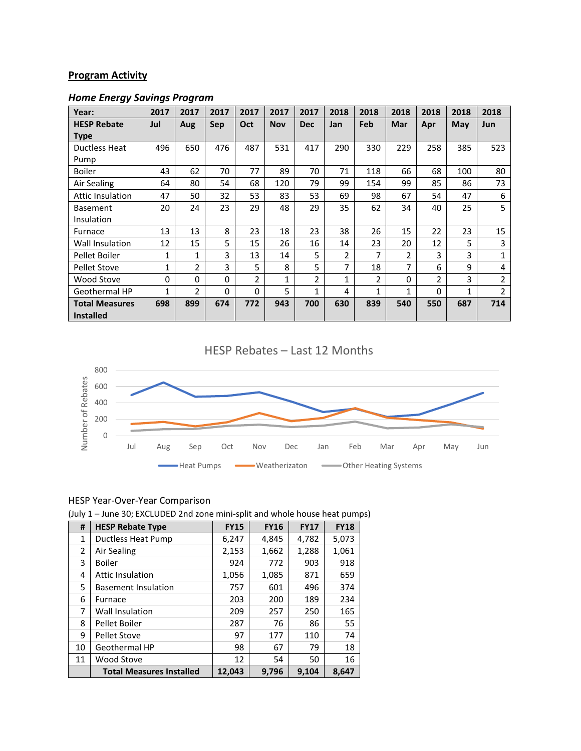# **Program Activity**

# *Home Energy Savings Program*

| Year:                   | 2017     | 2017           | 2017     | 2017 | 2017         | 2017           | 2018           | 2018 | 2018           | 2018 | 2018 | 2018           |
|-------------------------|----------|----------------|----------|------|--------------|----------------|----------------|------|----------------|------|------|----------------|
| <b>HESP Rebate</b>      | Jul      | Aug            | Sep      | Oct  | <b>Nov</b>   | <b>Dec</b>     | Jan            | Feb  | Mar            | Apr  | May  | <b>Jun</b>     |
| <b>Type</b>             |          |                |          |      |              |                |                |      |                |      |      |                |
| Ductless Heat           | 496      | 650            | 476      | 487  | 531          | 417            | 290            | 330  | 229            | 258  | 385  | 523            |
| Pump                    |          |                |          |      |              |                |                |      |                |      |      |                |
| <b>Boiler</b>           | 43       | 62             | 70       | 77   | 89           | 70             | 71             | 118  | 66             | 68   | 100  | 80             |
| Air Sealing             | 64       | 80             | 54       | 68   | 120          | 79             | 99             | 154  | 99             | 85   | 86   | 73             |
| <b>Attic Insulation</b> | 47       | 50             | 32       | 53   | 83           | 53             | 69             | 98   | 67             | 54   | 47   | 6              |
| <b>Basement</b>         | 20       | 24             | 23       | 29   | 48           | 29             | 35             | 62   | 34             | 40   | 25   | 5              |
| Insulation              |          |                |          |      |              |                |                |      |                |      |      |                |
| Furnace                 | 13       | 13             | 8        | 23   | 18           | 23             | 38             | 26   | 15             | 22   | 23   | 15             |
| Wall Insulation         | 12       | 15             | 5        | 15   | 26           | 16             | 14             | 23   | 20             | 12   | 5    | 3              |
| Pellet Boiler           | 1        | $\mathbf{1}$   | 3        | 13   | 14           | 5              | $\overline{2}$ | 7    | $\overline{2}$ | 3    | 3    | 1              |
| <b>Pellet Stove</b>     | 1        | $\overline{2}$ | 3        | 5    | 8            | 5              | 7              | 18   | 7              | 6    | 9    | 4              |
| Wood Stove              | $\Omega$ | 0              | 0        | 2    | $\mathbf{1}$ | $\overline{2}$ | 1              | 2    | 0              | 2    | 3    | 2              |
| Geothermal HP           | 1        | $\overline{2}$ | $\Omega$ | 0    | 5            | 1              | 4              | 1    | 1              | 0    | 1    | $\overline{2}$ |
| <b>Total Measures</b>   | 698      | 899            | 674      | 772  | 943          | 700            | 630            | 839  | 540            | 550  | 687  | 714            |
| <b>Installed</b>        |          |                |          |      |              |                |                |      |                |      |      |                |

# HESP Rebates – Last 12 Months



### HESP Year-Over-Year Comparison

(July 1 – June 30; EXCLUDED 2nd zone mini-split and whole house heat pumps)

| #              | <b>HESP Rebate Type</b>         | <b>FY15</b> | <b>FY16</b> | <b>FY17</b> | <b>FY18</b> |
|----------------|---------------------------------|-------------|-------------|-------------|-------------|
| 1              | Ductless Heat Pump              | 6,247       | 4,845       | 4,782       | 5,073       |
| $\overline{2}$ | Air Sealing                     | 2,153       | 1,662       | 1,288       | 1,061       |
| 3              | <b>Boiler</b>                   | 924         | 772         | 903         | 918         |
| 4              | <b>Attic Insulation</b>         | 1,056       | 1,085       | 871         | 659         |
| 5.             | <b>Basement Insulation</b>      | 757         | 601         | 496         | 374         |
| 6              | Furnace                         | 203         | 200         | 189         | 234         |
| 7              | <b>Wall Insulation</b>          | 209         | 257         | 250         | 165         |
| 8              | Pellet Boiler                   | 287         | 76          | 86          | 55          |
| 9              | <b>Pellet Stove</b>             | 97          | 177         | 110         | 74          |
| 10             | Geothermal HP                   | 98          | 67          | 79          | 18          |
| 11             | Wood Stove                      | 12          | 54          | 50          | 16          |
|                | <b>Total Measures Installed</b> | 12,043      | 9,796       | 9,104       | 8,647       |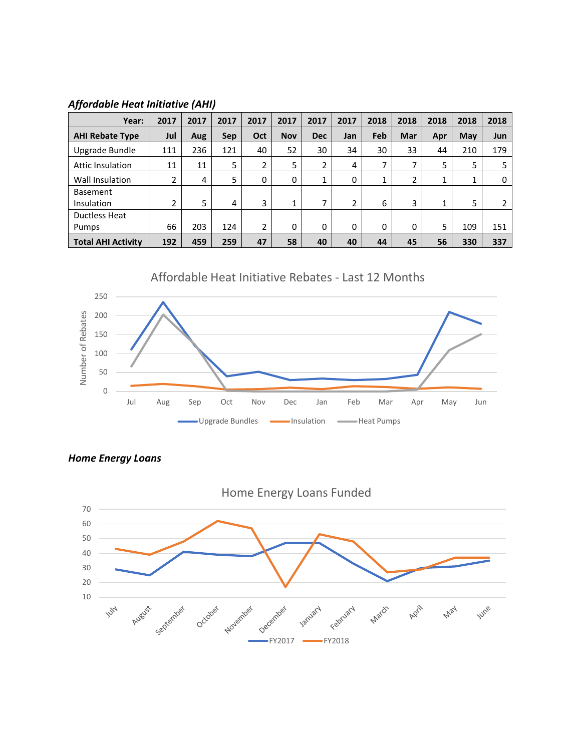## *Affordable Heat Initiative (AHI)*

| Year:                     | 2017           | 2017 | 2017 | 2017 | 2017       | 2017       | 2017 | 2018 | 2018           | 2018         | 2018         | 2018 |
|---------------------------|----------------|------|------|------|------------|------------|------|------|----------------|--------------|--------------|------|
| <b>AHI Rebate Type</b>    | Jul            | Aug  | Sep  | Oct  | <b>Nov</b> | <b>Dec</b> | Jan  | Feb  | Mar            | Apr          | May          | Jun  |
| Upgrade Bundle            | 111            | 236  | 121  | 40   | 52         | 30         | 34   | 30   | 33             | 44           | 210          | 179  |
| Attic Insulation          | 11             | 11   | 5    | 2    | 5          | 2          | 4    | ⇁    | $\overline{7}$ | 5            | 5            | 5    |
| Wall Insulation           | 2              | 4    | 5    | 0    | 0          |            | 0    | 1    | $\overline{2}$ | $\mathbf{1}$ | $\mathbf{1}$ | 0    |
| <b>Basement</b>           |                |      |      |      |            |            |      |      |                |              |              |      |
| Insulation                | $\overline{2}$ | 5    | 4    | 3    | 1          | ⇁          | 2    | 6    | 3              | 1            | 5            |      |
| <b>Ductless Heat</b>      |                |      |      |      |            |            |      |      |                |              |              |      |
| Pumps                     | 66             | 203  | 124  | 2    | 0          | 0          | 0    | 0    | 0              | 5            | 109          | 151  |
| <b>Total AHI Activity</b> | 192            | 459  | 259  | 47   | 58         | 40         | 40   | 44   | 45             | 56           | 330          | 337  |